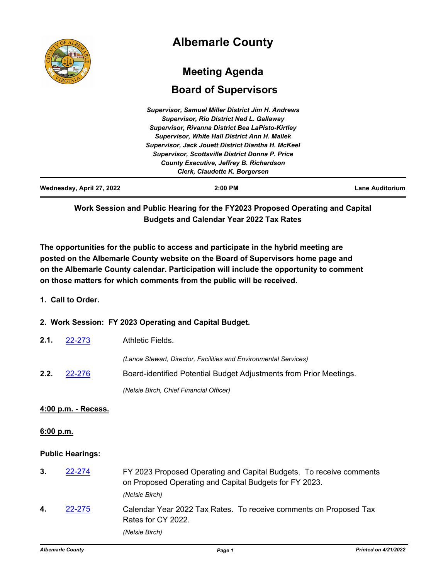|                           | <b>Albemarle County</b>                                   |                        |
|---------------------------|-----------------------------------------------------------|------------------------|
|                           | <b>Meeting Agenda</b>                                     |                        |
|                           | <b>Board of Supervisors</b>                               |                        |
|                           | <b>Supervisor, Samuel Miller District Jim H. Andrews</b>  |                        |
|                           | <b>Supervisor, Rio District Ned L. Gallaway</b>           |                        |
|                           | Supervisor, Rivanna District Bea LaPisto-Kirtley          |                        |
|                           | <b>Supervisor, White Hall District Ann H. Mallek</b>      |                        |
|                           | <b>Supervisor, Jack Jouett District Diantha H. McKeel</b> |                        |
|                           | <b>Supervisor, Scottsville District Donna P. Price</b>    |                        |
|                           | County Executive, Jeffrey B. Richardson                   |                        |
|                           | Clerk, Claudette K. Borgersen                             |                        |
| Wednesday, April 27, 2022 | $2:00$ PM                                                 | <b>Lane Auditorium</b> |

**Work Session and Public Hearing for the FY2023 Proposed Operating and Capital Budgets and Calendar Year 2022 Tax Rates**

**The opportunities for the public to access and participate in the hybrid meeting are posted on the Albemarle County website on the Board of Supervisors home page and on the Albemarle County calendar. Participation will include the opportunity to comment on those matters for which comments from the public will be received.**

# **1. Call to Order.**

# **2. Work Session: FY 2023 Operating and Capital Budget.**

| 2.1. | 22-273 | Athletic Fields.                                                   |
|------|--------|--------------------------------------------------------------------|
|      |        | (Lance Stewart, Director, Facilities and Environmental Services)   |
| 2.2. | 22-276 | Board-identified Potential Budget Adjustments from Prior Meetings. |
|      |        | (Nelsie Birch, Chief Financial Officer)                            |

### **4:00 p.m. - Recess.**

### **6:00 p.m.**

### **Public Hearings:**

| 3. | 22-274 | FY 2023 Proposed Operating and Capital Budgets. To receive comments<br>on Proposed Operating and Capital Budgets for FY 2023.<br>(Nelsie Birch) |
|----|--------|-------------------------------------------------------------------------------------------------------------------------------------------------|
| 4. | 22-275 | Calendar Year 2022 Tax Rates. To receive comments on Proposed Tax<br>Rates for CY 2022.<br>(Nelsie Birch)                                       |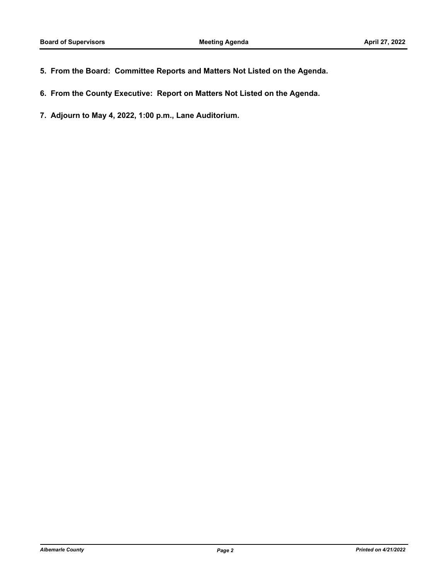- **5. From the Board: Committee Reports and Matters Not Listed on the Agenda.**
- **6. From the County Executive: Report on Matters Not Listed on the Agenda.**
- **7. Adjourn to May 4, 2022, 1:00 p.m., Lane Auditorium.**